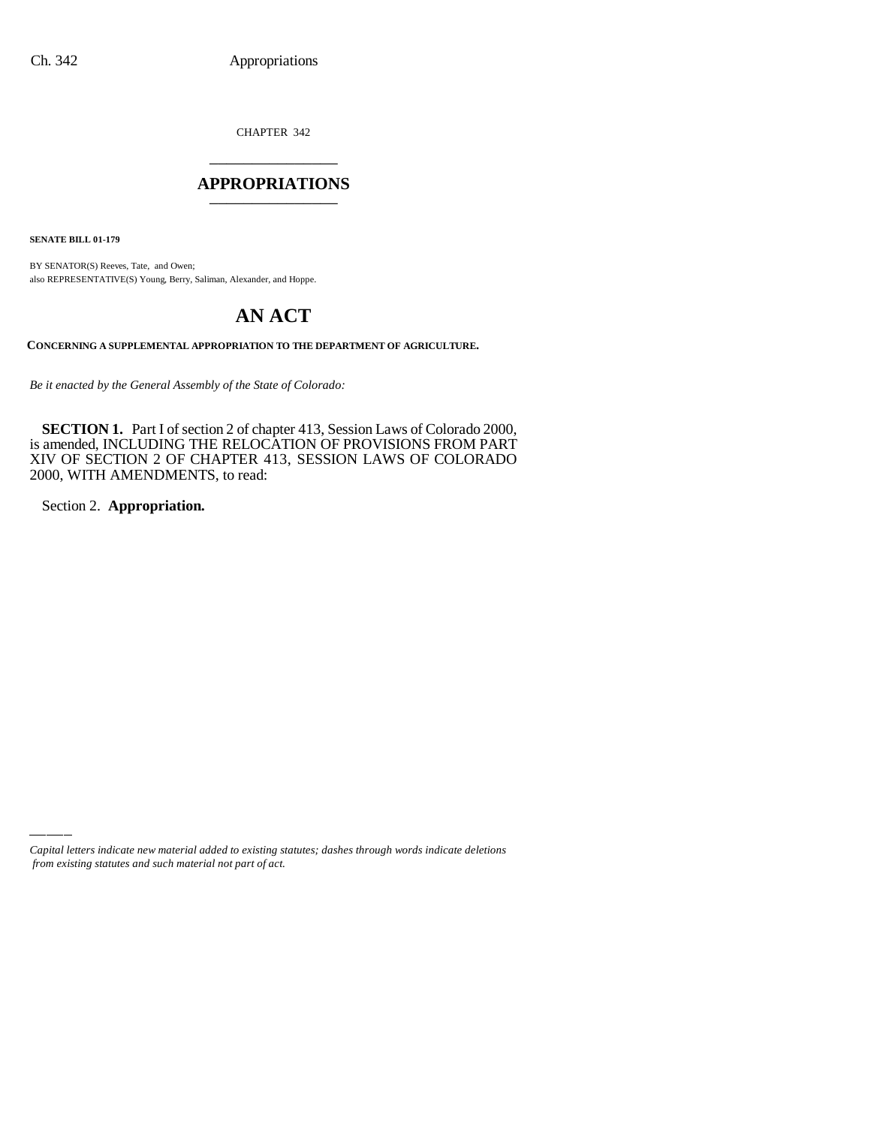CHAPTER 342 \_\_\_\_\_\_\_\_\_\_\_\_\_\_\_

#### **APPROPRIATIONS** \_\_\_\_\_\_\_\_\_\_\_\_\_\_\_

**SENATE BILL 01-179**

BY SENATOR(S) Reeves, Tate, and Owen; also REPRESENTATIVE(S) Young, Berry, Saliman, Alexander, and Hoppe.

# **AN ACT**

**CONCERNING A SUPPLEMENTAL APPROPRIATION TO THE DEPARTMENT OF AGRICULTURE.**

*Be it enacted by the General Assembly of the State of Colorado:*

**SECTION 1.** Part I of section 2 of chapter 413, Session Laws of Colorado 2000, is amended, INCLUDING THE RELOCATION OF PROVISIONS FROM PART XIV OF SECTION 2 OF CHAPTER 413, SESSION LAWS OF COLORADO 2000, WITH AMENDMENTS, to read:

Section 2. **Appropriation.**

*Capital letters indicate new material added to existing statutes; dashes through words indicate deletions from existing statutes and such material not part of act.*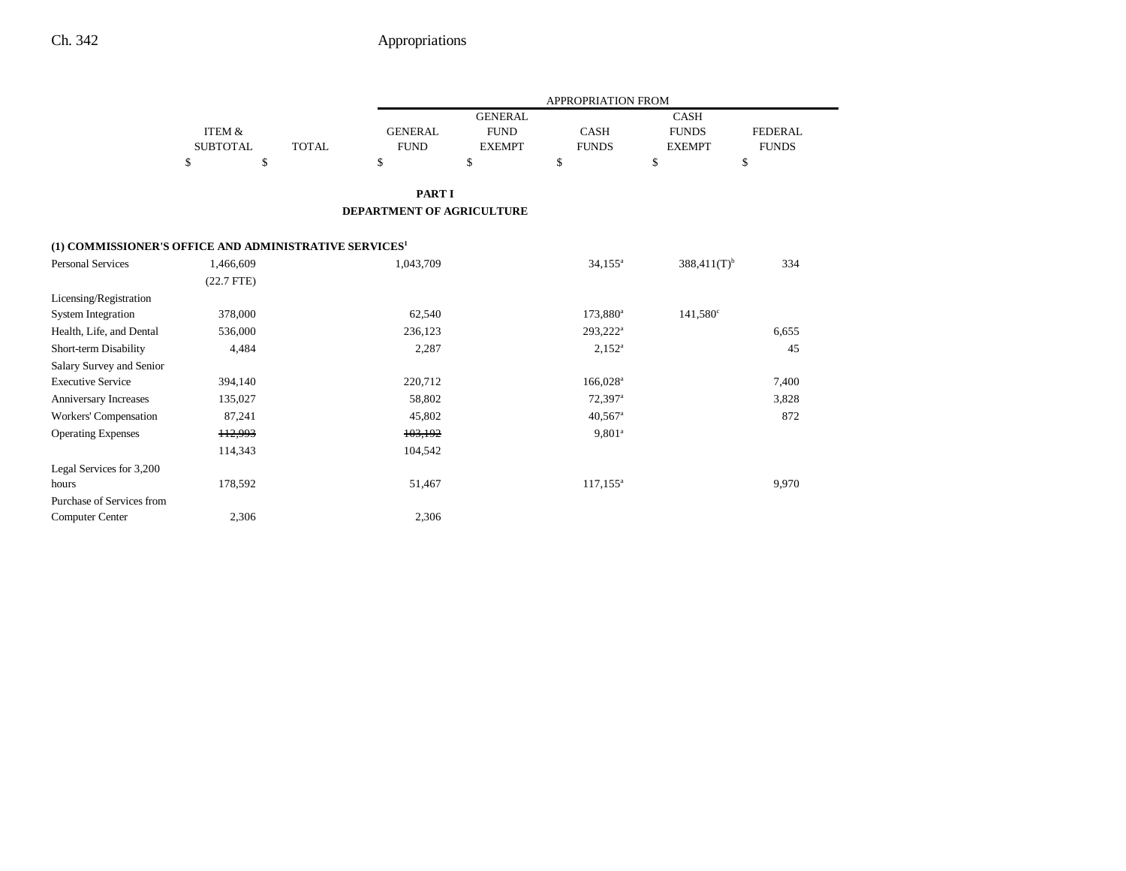|                                                                    |                           |              |                               |                                                | APPROPRIATION FROM          |                                              |                                |
|--------------------------------------------------------------------|---------------------------|--------------|-------------------------------|------------------------------------------------|-----------------------------|----------------------------------------------|--------------------------------|
|                                                                    | ITEM &<br><b>SUBTOTAL</b> | <b>TOTAL</b> | <b>GENERAL</b><br><b>FUND</b> | <b>GENERAL</b><br><b>FUND</b><br><b>EXEMPT</b> | <b>CASH</b><br><b>FUNDS</b> | <b>CASH</b><br><b>FUNDS</b><br><b>EXEMPT</b> | <b>FEDERAL</b><br><b>FUNDS</b> |
|                                                                    | \$<br>\$                  |              | \$                            | \$                                             | \$                          | \$                                           | \$                             |
|                                                                    |                           |              | <b>PART I</b>                 |                                                |                             |                                              |                                |
|                                                                    |                           |              | DEPARTMENT OF AGRICULTURE     |                                                |                             |                                              |                                |
| (1) COMMISSIONER'S OFFICE AND ADMINISTRATIVE SERVICES <sup>1</sup> |                           |              |                               |                                                |                             |                                              |                                |
| <b>Personal Services</b>                                           | 1,466,609                 |              | 1,043,709                     |                                                | $34,155^a$                  | $388,411(T)$ <sup>b</sup>                    | 334                            |
|                                                                    | $(22.7$ FTE)              |              |                               |                                                |                             |                                              |                                |
| Licensing/Registration                                             |                           |              |                               |                                                |                             |                                              |                                |
| <b>System Integration</b>                                          | 378,000                   |              | 62,540                        |                                                | 173,880 <sup>a</sup>        | $141,580^{\circ}$                            |                                |
| Health, Life, and Dental                                           | 536,000                   |              | 236,123                       |                                                | 293,222 <sup>a</sup>        |                                              | 6,655                          |
| Short-term Disability                                              | 4,484                     |              | 2,287                         |                                                | $2,152^a$                   |                                              | 45                             |
| Salary Survey and Senior                                           |                           |              |                               |                                                |                             |                                              |                                |
| <b>Executive Service</b>                                           | 394,140                   |              | 220,712                       |                                                | 166,028 <sup>a</sup>        |                                              | 7,400                          |
| Anniversary Increases                                              | 135,027                   |              | 58,802                        |                                                | 72,397 <sup>a</sup>         |                                              | 3,828                          |
| Workers' Compensation                                              | 87,241                    |              | 45,802                        |                                                | $40,567$ <sup>a</sup>       |                                              | 872                            |
| <b>Operating Expenses</b>                                          | 112,993                   |              | 103,192                       |                                                | $9,801^a$                   |                                              |                                |
|                                                                    | 114,343                   |              | 104,542                       |                                                |                             |                                              |                                |
| Legal Services for 3,200                                           |                           |              |                               |                                                |                             |                                              |                                |
| hours                                                              | 178,592                   |              | 51,467                        |                                                | $117, 155^{\circ}$          |                                              | 9,970                          |
| Purchase of Services from                                          |                           |              |                               |                                                |                             |                                              |                                |
| <b>Computer Center</b>                                             | 2,306                     |              | 2,306                         |                                                |                             |                                              |                                |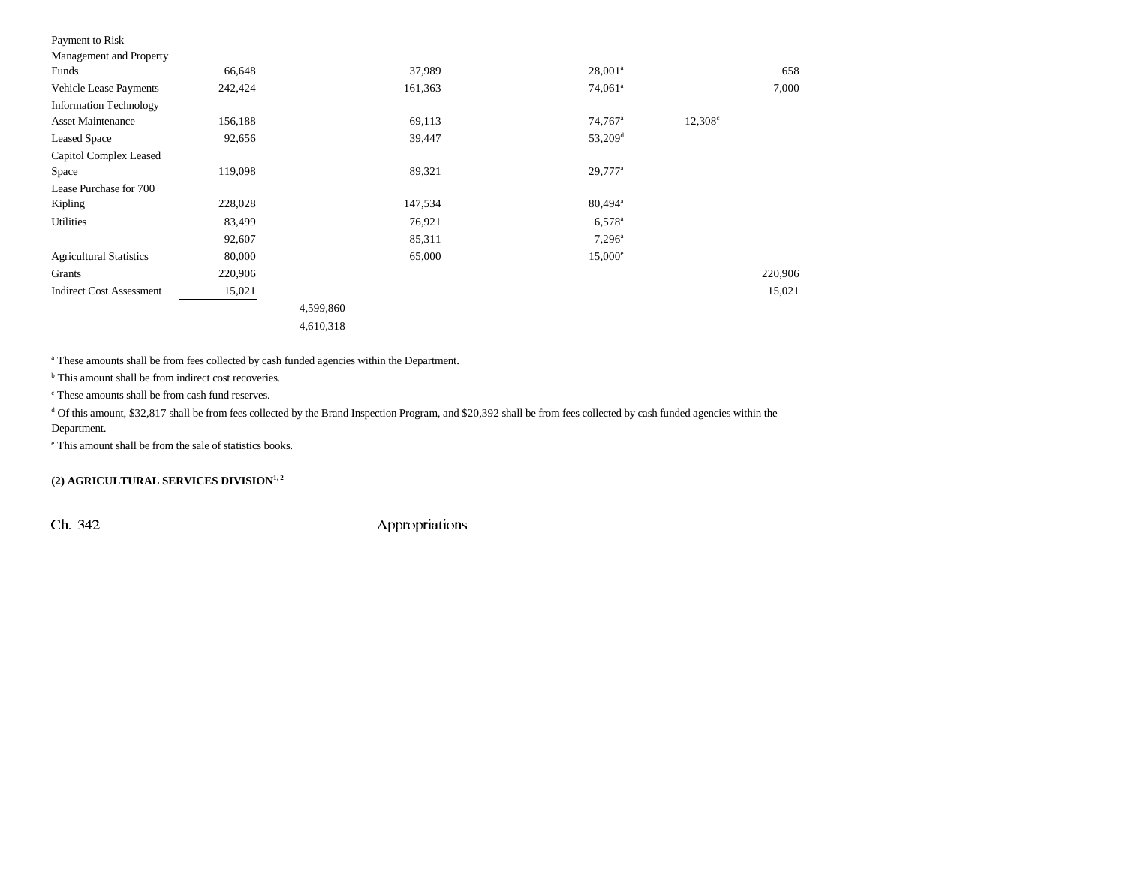| Payment to Risk                 |         |           |         |                       |                  |         |
|---------------------------------|---------|-----------|---------|-----------------------|------------------|---------|
| Management and Property         |         |           |         |                       |                  |         |
| Funds                           | 66,648  |           | 37,989  | $28,001^a$            |                  | 658     |
| <b>Vehicle Lease Payments</b>   | 242,424 |           | 161,363 | 74,061 <sup>a</sup>   |                  | 7,000   |
| <b>Information Technology</b>   |         |           |         |                       |                  |         |
| <b>Asset Maintenance</b>        | 156,188 |           | 69,113  | 74,767 <sup>a</sup>   | $12,308^{\circ}$ |         |
| <b>Leased Space</b>             | 92,656  |           | 39,447  | $53,209$ <sup>d</sup> |                  |         |
| Capitol Complex Leased          |         |           |         |                       |                  |         |
| Space                           | 119,098 |           | 89,321  | $29,777^a$            |                  |         |
| Lease Purchase for 700          |         |           |         |                       |                  |         |
| Kipling                         | 228,028 |           | 147,534 | 80,494 <sup>a</sup>   |                  |         |
| Utilities                       | 83,499  |           | 76,921  | $6,578$ <sup>a</sup>  |                  |         |
|                                 | 92,607  |           | 85,311  | $7,296^{\circ}$       |                  |         |
| <b>Agricultural Statistics</b>  | 80,000  |           | 65,000  | $15,000^{\circ}$      |                  |         |
| Grants                          | 220,906 |           |         |                       |                  | 220,906 |
| <b>Indirect Cost Assessment</b> | 15,021  |           |         |                       |                  | 15,021  |
|                                 |         | 4,599,860 |         |                       |                  |         |
|                                 |         | 4,610,318 |         |                       |                  |         |

<sup>a</sup> These amounts shall be from fees collected by cash funded agencies within the Department.

<sup>b</sup> This amount shall be from indirect cost recoveries.

c These amounts shall be from cash fund reserves.

<sup>d</sup> Of this amount, \$32,817 shall be from fees collected by the Brand Inspection Program, and \$20,392 shall be from fees collected by cash funded agencies within the Department.

e This amount shall be from the sale of statistics books.

#### **(2) AGRICULTURAL SERVICES DIVISION1, 2**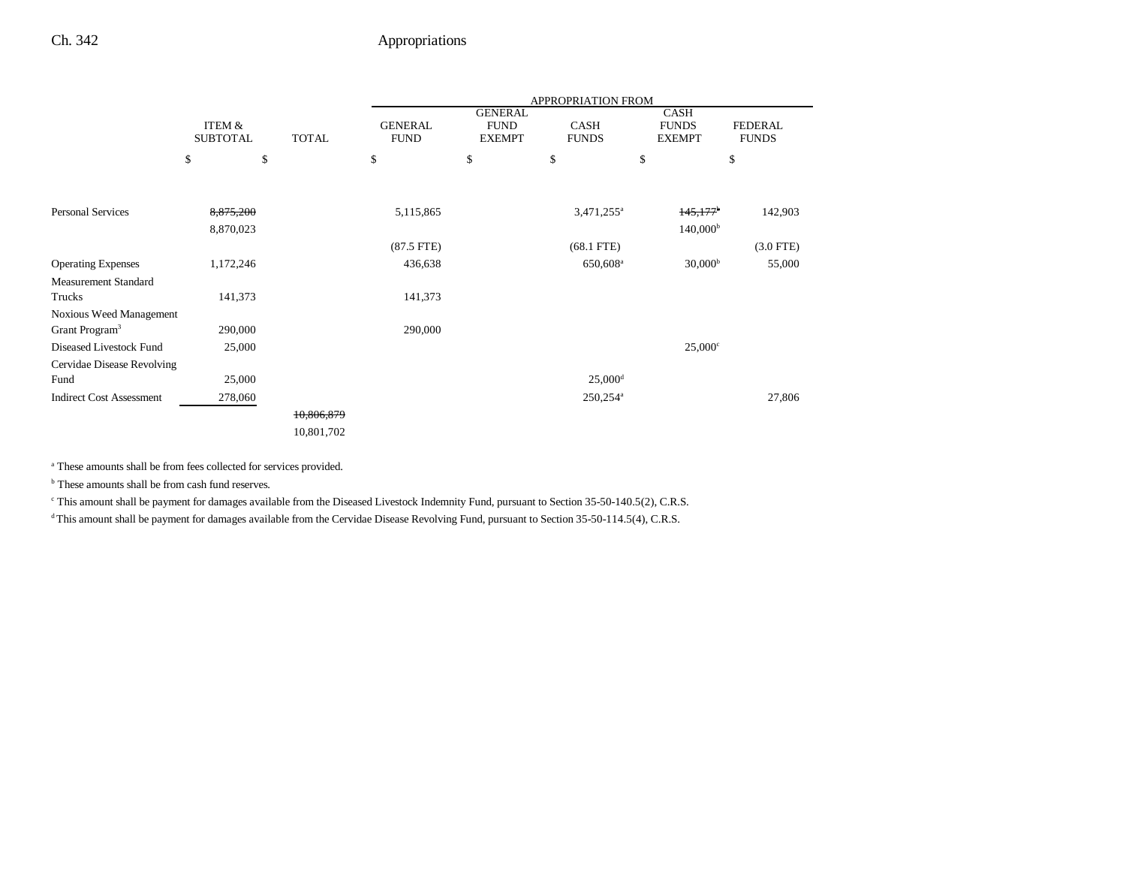|                                                       |                           |              |                               |                                                | <b>APPROPRIATION FROM</b>   |                                              |                                |
|-------------------------------------------------------|---------------------------|--------------|-------------------------------|------------------------------------------------|-----------------------------|----------------------------------------------|--------------------------------|
|                                                       | ITEM &<br><b>SUBTOTAL</b> | <b>TOTAL</b> | <b>GENERAL</b><br><b>FUND</b> | <b>GENERAL</b><br><b>FUND</b><br><b>EXEMPT</b> | <b>CASH</b><br><b>FUNDS</b> | <b>CASH</b><br><b>FUNDS</b><br><b>EXEMPT</b> | <b>FEDERAL</b><br><b>FUNDS</b> |
|                                                       | \$                        | \$           | \$                            | \$                                             | \$                          | \$                                           | \$                             |
| <b>Personal Services</b>                              | 8,875,200<br>8,870,023    |              | 5,115,865                     |                                                | 3,471,255 <sup>a</sup>      | 145,177<br>$140,000^{\rm b}$                 | 142,903                        |
|                                                       |                           |              | $(87.5$ FTE)                  |                                                | $(68.1$ FTE)                |                                              | $(3.0$ FTE)                    |
| <b>Operating Expenses</b>                             | 1,172,246                 |              | 436,638                       |                                                | 650,608 <sup>a</sup>        | 30,000 <sup>b</sup>                          | 55,000                         |
| <b>Measurement Standard</b>                           |                           |              |                               |                                                |                             |                                              |                                |
| Trucks                                                | 141,373                   |              | 141,373                       |                                                |                             |                                              |                                |
| Noxious Weed Management<br>Grant Program <sup>3</sup> | 290,000                   |              | 290,000                       |                                                |                             |                                              |                                |
| Diseased Livestock Fund                               | 25,000                    |              |                               |                                                |                             | $25,000^{\circ}$                             |                                |
| Cervidae Disease Revolving                            |                           |              |                               |                                                |                             |                                              |                                |
| Fund                                                  | 25,000                    |              |                               |                                                | $25,000$ <sup>d</sup>       |                                              |                                |
| <b>Indirect Cost Assessment</b>                       | 278,060                   |              |                               |                                                | 250,254 <sup>a</sup>        |                                              | 27,806                         |
|                                                       |                           | 10,806,879   |                               |                                                |                             |                                              |                                |
|                                                       |                           | 10,801,702   |                               |                                                |                             |                                              |                                |

a These amounts shall be from fees collected for services provided.

<sup>b</sup> These amounts shall be from cash fund reserves.

c This amount shall be payment for damages available from the Diseased Livestock Indemnity Fund, pursuant to Section 35-50-140.5(2), C.R.S.

<sup>d</sup> This amount shall be payment for damages available from the Cervidae Disease Revolving Fund, pursuant to Section 35-50-114.5(4), C.R.S.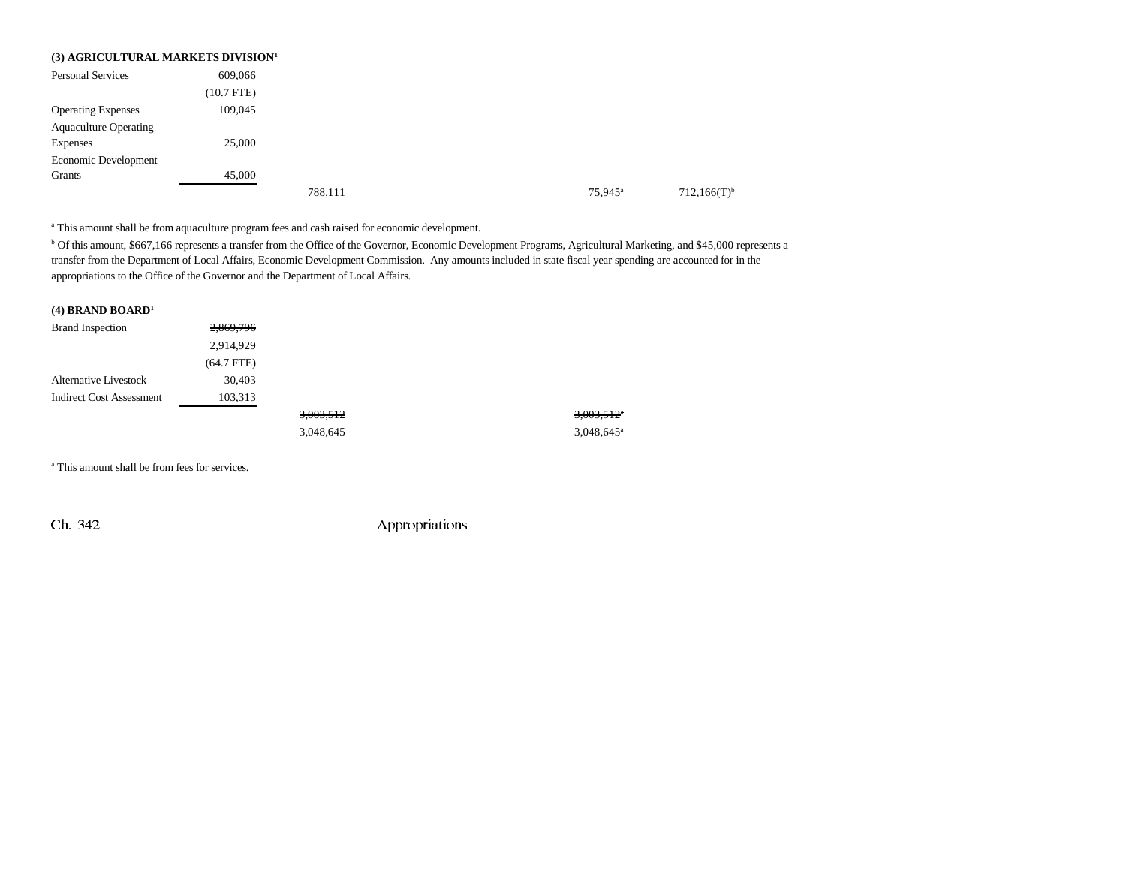|                              | (3) AGRICULTURAL MARKETS DIVISION <sup>1</sup> |         |                     |  |
|------------------------------|------------------------------------------------|---------|---------------------|--|
| <b>Personal Services</b>     | 609,066                                        |         |                     |  |
|                              | $(10.7$ FTE)                                   |         |                     |  |
| <b>Operating Expenses</b>    | 109,045                                        |         |                     |  |
| <b>Aquaculture Operating</b> |                                                |         |                     |  |
| Expenses                     | 25,000                                         |         |                     |  |
| Economic Development         |                                                |         |                     |  |
| Grants                       | 45,000                                         |         |                     |  |
|                              |                                                | 788,111 | 75,945 <sup>a</sup> |  |

<sup>a</sup> This amount shall be from aquaculture program fees and cash raised for economic development.

b Of this amount, \$667,166 represents a transfer from the Office of the Governor, Economic Development Programs, Agricultural Marketing, and \$45,000 represents a transfer from the Department of Local Affairs, Economic Development Commission. Any amounts included in state fiscal year spending are accounted for in the appropriations to the Office of the Governor and the Department of Local Affairs.

| $(4)$ BRAND BOARD <sup>1</sup>  |              |           |                          |
|---------------------------------|--------------|-----------|--------------------------|
| <b>Brand Inspection</b>         | 2,869,796    |           |                          |
|                                 | 2,914,929    |           |                          |
|                                 | $(64.7$ FTE) |           |                          |
| <b>Alternative Livestock</b>    | 30,403       |           |                          |
| <b>Indirect Cost Assessment</b> | 103,313      |           |                          |
|                                 |              | 3,003,512 | $3,003,512$ <sup>*</sup> |
|                                 |              | 3,048,645 | $3.048.645$ <sup>a</sup> |

a This amount shall be from fees for services.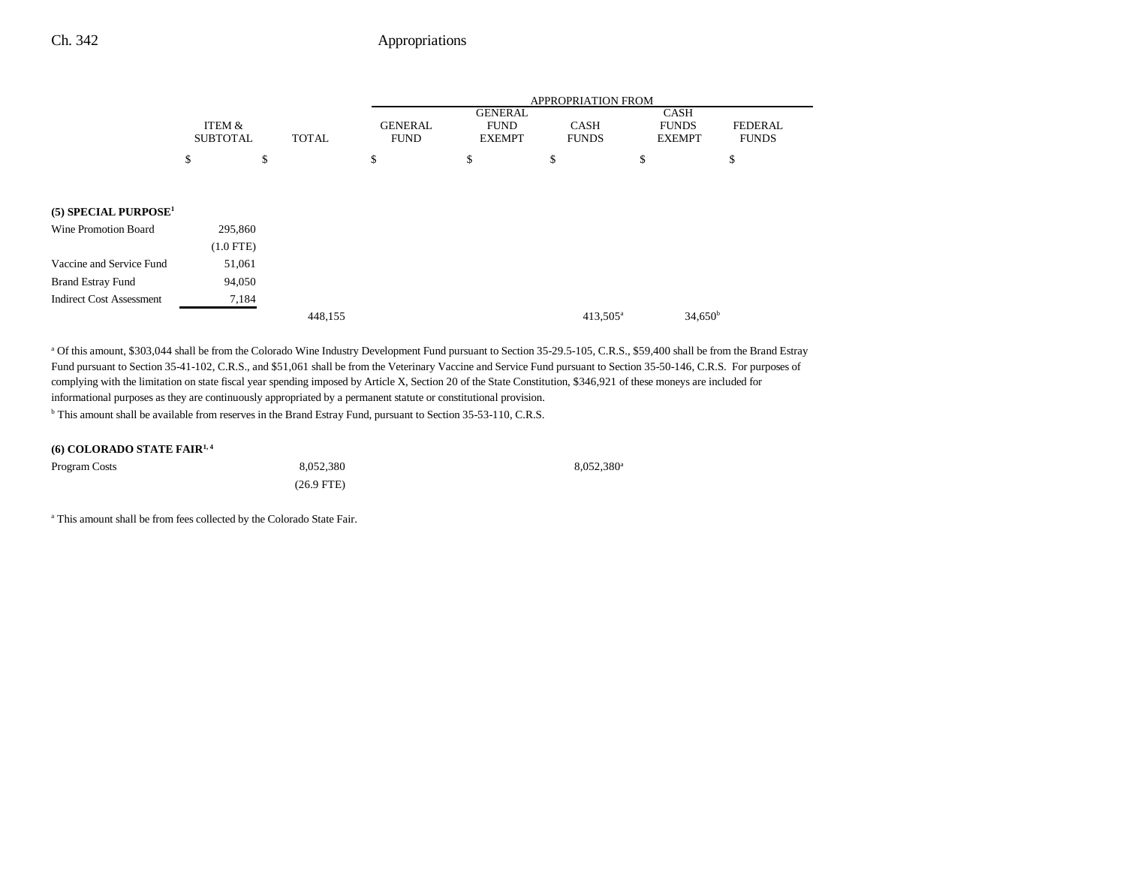|                                    |                           |              |                               |                                                | APPROPRIATION FROM          |                                              |                         |
|------------------------------------|---------------------------|--------------|-------------------------------|------------------------------------------------|-----------------------------|----------------------------------------------|-------------------------|
|                                    | ITEM &<br><b>SUBTOTAL</b> | <b>TOTAL</b> | <b>GENERAL</b><br><b>FUND</b> | <b>GENERAL</b><br><b>FUND</b><br><b>EXEMPT</b> | <b>CASH</b><br><b>FUNDS</b> | <b>CASH</b><br><b>FUNDS</b><br><b>EXEMPT</b> | FEDERAL<br><b>FUNDS</b> |
|                                    | \$                        | S            | \$                            | \$                                             | \$                          | \$                                           | \$                      |
|                                    |                           |              |                               |                                                |                             |                                              |                         |
| $(5)$ SPECIAL PURPOSE <sup>1</sup> |                           |              |                               |                                                |                             |                                              |                         |
| Wine Promotion Board               | 295,860                   |              |                               |                                                |                             |                                              |                         |
|                                    | $(1.0$ FTE)               |              |                               |                                                |                             |                                              |                         |
| Vaccine and Service Fund           | 51,061                    |              |                               |                                                |                             |                                              |                         |
| <b>Brand Estray Fund</b>           | 94,050                    |              |                               |                                                |                             |                                              |                         |
| <b>Indirect Cost Assessment</b>    | 7,184                     |              |                               |                                                |                             |                                              |                         |
|                                    |                           |              | 448,155                       |                                                |                             | $413,505^{\rm a}$                            | $34,650^{\rm b}$        |

a Of this amount, \$303,044 shall be from the Colorado Wine Industry Development Fund pursuant to Section 35-29.5-105, C.R.S., \$59,400 shall be from the Brand Estray Fund pursuant to Section 35-41-102, C.R.S., and \$51,061 shall be from the Veterinary Vaccine and Service Fund pursuant to Section 35-50-146, C.R.S. For purposes of complying with the limitation on state fiscal year spending imposed by Article X, Section 20 of the State Constitution, \$346,921 of these moneys are included for informational purposes as they are continuously appropriated by a permanent statute or constitutional provision. <sup>b</sup> This amount shall be available from reserves in the Brand Estray Fund, pursuant to Section 35-53-110, C.R.S.

|  | (6) COLORADO STATE FAIR <sup>1,4</sup> |
|--|----------------------------------------|
|--|----------------------------------------|

| Program Costs | 8.052.380            | $8,052,380$ <sup>a</sup> |
|---------------|----------------------|--------------------------|
|               | $(26.9 \text{ FTE})$ |                          |

a This amount shall be from fees collected by the Colorado State Fair.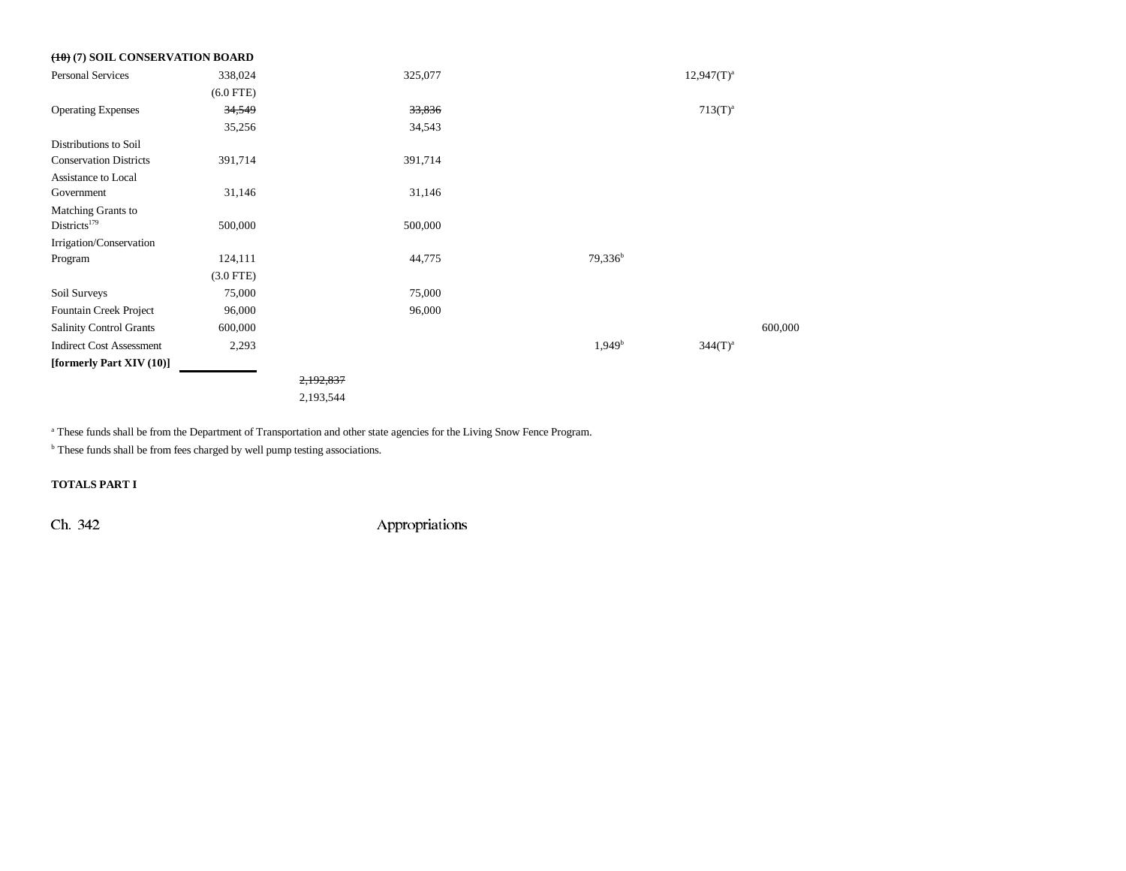| $(10)(7)$ SOIL CONSERVATION BOARD |             |           |         |                    |                 |         |
|-----------------------------------|-------------|-----------|---------|--------------------|-----------------|---------|
| <b>Personal Services</b>          | 338,024     |           | 325,077 |                    | $12,947(T)^{a}$ |         |
|                                   | $(6.0$ FTE) |           |         |                    |                 |         |
| <b>Operating Expenses</b>         | 34,549      |           | 33,836  |                    | $713(T)^{a}$    |         |
|                                   | 35,256      |           | 34,543  |                    |                 |         |
| Distributions to Soil             |             |           |         |                    |                 |         |
| <b>Conservation Districts</b>     | 391,714     |           | 391,714 |                    |                 |         |
| Assistance to Local               |             |           |         |                    |                 |         |
| Government                        | 31,146      |           | 31,146  |                    |                 |         |
| Matching Grants to                |             |           |         |                    |                 |         |
| Districts <sup>179</sup>          | 500,000     |           | 500,000 |                    |                 |         |
| Irrigation/Conservation           |             |           |         |                    |                 |         |
| Program                           | 124,111     |           | 44,775  | $79,336^b$         |                 |         |
|                                   | $(3.0$ FTE) |           |         |                    |                 |         |
| Soil Surveys                      | 75,000      |           | 75,000  |                    |                 |         |
| Fountain Creek Project            | 96,000      |           | 96,000  |                    |                 |         |
| <b>Salinity Control Grants</b>    | 600,000     |           |         |                    |                 | 600,000 |
| <b>Indirect Cost Assessment</b>   | 2,293       |           |         | 1,949 <sup>b</sup> | $344(T)^{a}$    |         |
| [formerly Part XIV (10)]          |             |           |         |                    |                 |         |
|                                   |             | 2,192,837 |         |                    |                 |         |
|                                   |             | 2,193,544 |         |                    |                 |         |

<sup>a</sup> These funds shall be from the Department of Transportation and other state agencies for the Living Snow Fence Program.

**b** These funds shall be from fees charged by well pump testing associations.

**TOTALS PART I**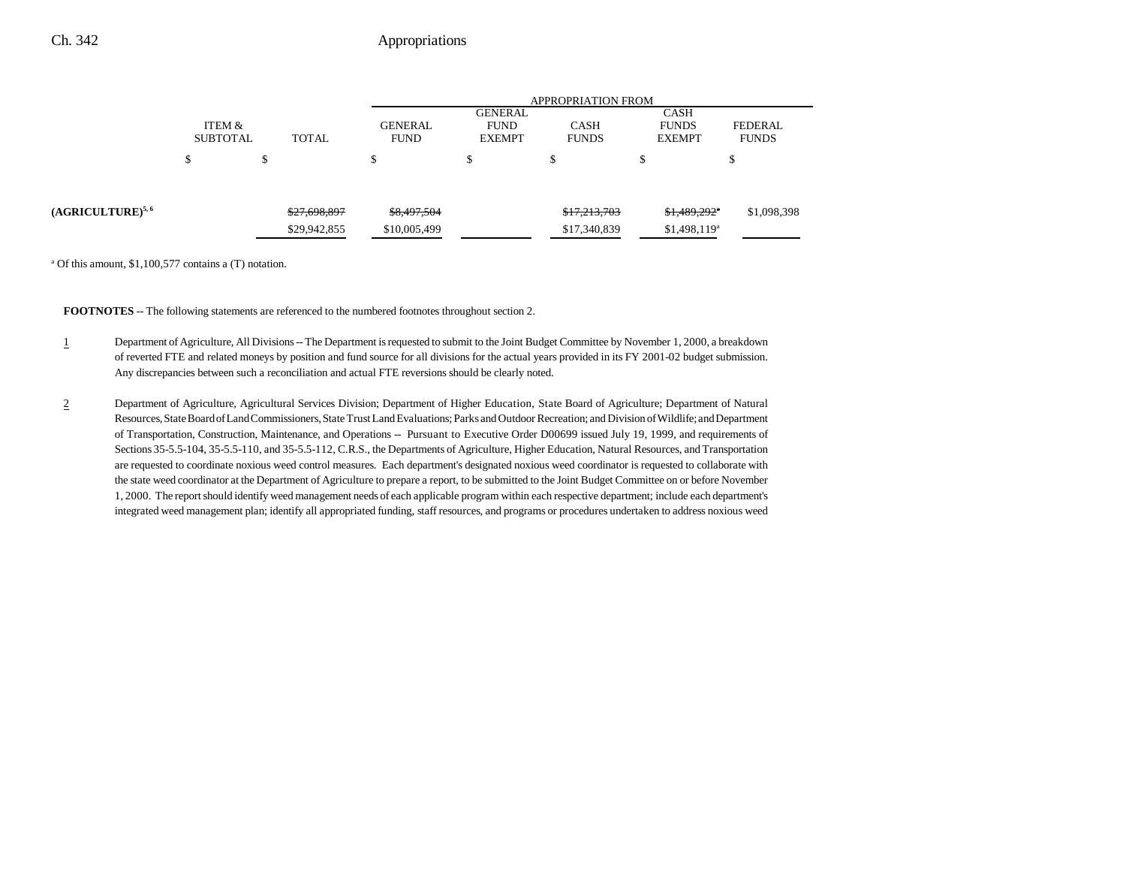|                               |                           |                  |                               | <b>APPROPRIATION FROM</b>               |                             |                                              |                                |  |  |
|-------------------------------|---------------------------|------------------|-------------------------------|-----------------------------------------|-----------------------------|----------------------------------------------|--------------------------------|--|--|
|                               | ITEM &<br><b>SUBTOTAL</b> | <b>TOTAL</b>     | <b>GENERAL</b><br><b>FUND</b> | GENERAL<br><b>FUND</b><br><b>EXEMPT</b> | <b>CASH</b><br><b>FUNDS</b> | <b>CASH</b><br><b>FUNDS</b><br><b>EXEMPT</b> | <b>FEDERAL</b><br><b>FUNDS</b> |  |  |
|                               | ъ                         | $\triangle$<br>Ф | \$                            | ch<br>Ф                                 | $\triangle$<br>Φ            |                                              | \$                             |  |  |
| (AGRICULTURE) <sup>5, 6</sup> |                           | \$27,698,897     | \$8,497,504                   |                                         | \$17,213,703                | \$1,489,292*                                 | \$1,098,398                    |  |  |
|                               |                           | \$29,942,855     | \$10,005,499                  |                                         | \$17,340,839                | $$1,498,119^a$                               |                                |  |  |

a Of this amount, \$1,100,577 contains a (T) notation.

**FOOTNOTES** -- The following statements are referenced to the numbered footnotes throughout section 2.

- 1Department of Agriculture, All Divisions -- The Department is requested to submit to the Joint Budget Committee by November 1, 2000, a breakdown of reverted FTE and related moneys by position and fund source for all divisions for the actual years provided in its FY 2001-02 budget submission. Any discrepancies between such a reconciliation and actual FTE reversions should be clearly noted.
- 2 Department of Agriculture, Agricultural Services Division; Department of Higher Education, State Board of Agriculture; Department of Natural Resources, State Board of Land Commissioners, State Trust Land Evaluations; Parks and Outdoor Recreation; and Division of Wildlife; and Department of Transportation, Construction, Maintenance, and Operations -- Pursuant to Executive Order D00699 issued July 19, 1999, and requirements of Sections 35-5.5-104, 35-5.5-110, and 35-5.5-112, C.R.S., the Departments of Agriculture, Higher Education, Natural Resources, and Transportation are requested to coordinate noxious weed control measures. Each department's designated noxious weed coordinator is requested to collaborate with the state weed coordinator at the Department of Agriculture to prepare a report, to be submitted to the Joint Budget Committee on or before November 1, 2000. The report should identify weed management needs of each applicable program within each respective department; include each department's integrated weed management plan; identify all appropriated funding, staff resources, and programs or procedures undertaken to address noxious weed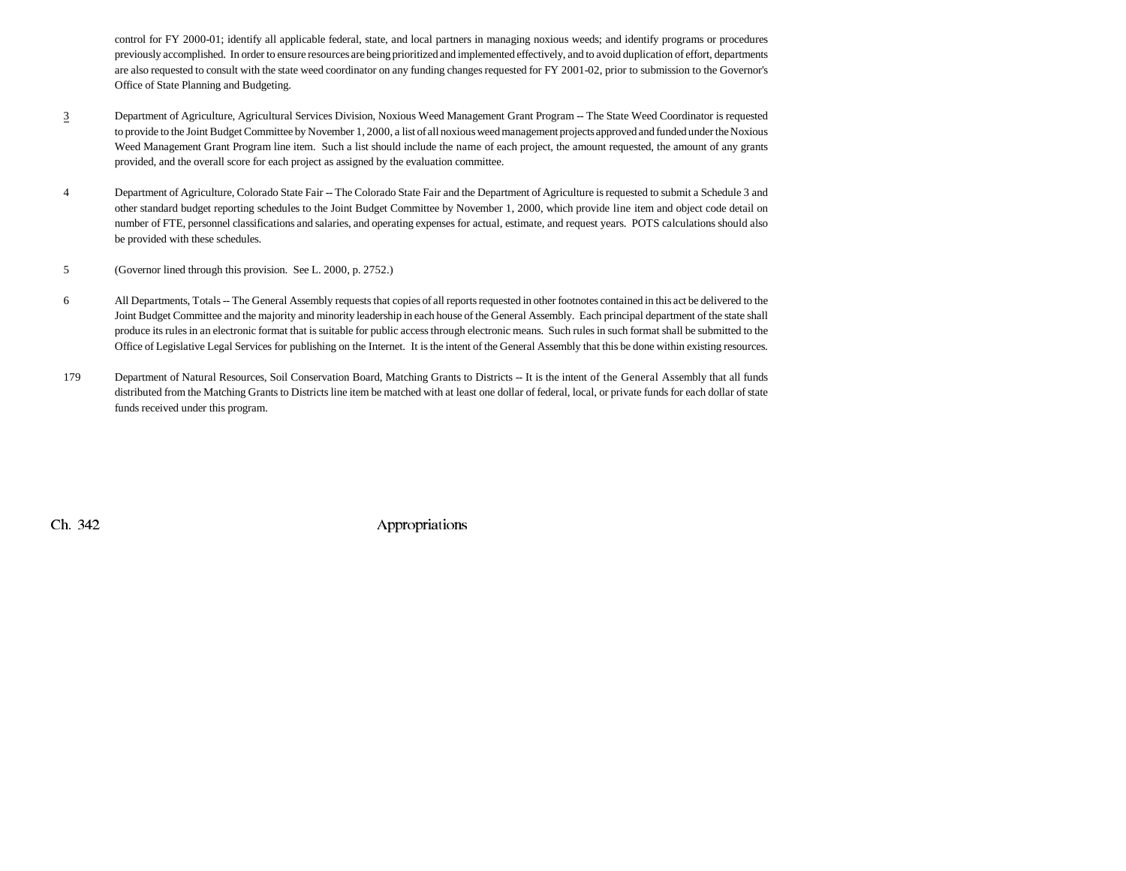control for FY 2000-01; identify all applicable federal, state, and local partners in managing noxious weeds; and identify programs or procedures previously accomplished. In order to ensure resources are being prioritized and implemented effectively, and to avoid duplication of effort, departments are also requested to consult with the state weed coordinator on any funding changes requested for FY 2001-02, prior to submission to the Governor's Office of State Planning and Budgeting.

- 3 Department of Agriculture, Agricultural Services Division, Noxious Weed Management Grant Program -- The State Weed Coordinator is requested to provide to the Joint Budget Committee by November 1, 2000, a list of all noxious weed management projects approved and funded under the Noxious Weed Management Grant Program line item. Such a list should include the name of each project, the amount requested, the amount of any grants provided, and the overall score for each project as assigned by the evaluation committee.
- 4 Department of Agriculture, Colorado State Fair -- The Colorado State Fair and the Department of Agriculture is requested to submit a Schedule 3 and other standard budget reporting schedules to the Joint Budget Committee by November 1, 2000, which provide line item and object code detail on number of FTE, personnel classifications and salaries, and operating expenses for actual, estimate, and request years. POTS calculations should also be provided with these schedules.
- 5 (Governor lined through this provision. See L. 2000, p. 2752.)
- 6 All Departments, Totals -- The General Assembly requests that copies of all reports requested in other footnotes contained in this act be delivered to the Joint Budget Committee and the majority and minority leadership in each house of the General Assembly. Each principal department of the state shall produce its rules in an electronic format that is suitable for public access through electronic means. Such rules in such format shall be submitted to the Office of Legislative Legal Services for publishing on the Internet. It is the intent of the General Assembly that this be done within existing resources.
- 179 Department of Natural Resources, Soil Conservation Board, Matching Grants to Districts -- It is the intent of the General Assembly that all funds distributed from the Matching Grants to Districts line item be matched with at least one dollar of federal, local, or private funds for each dollar of state funds received under this program.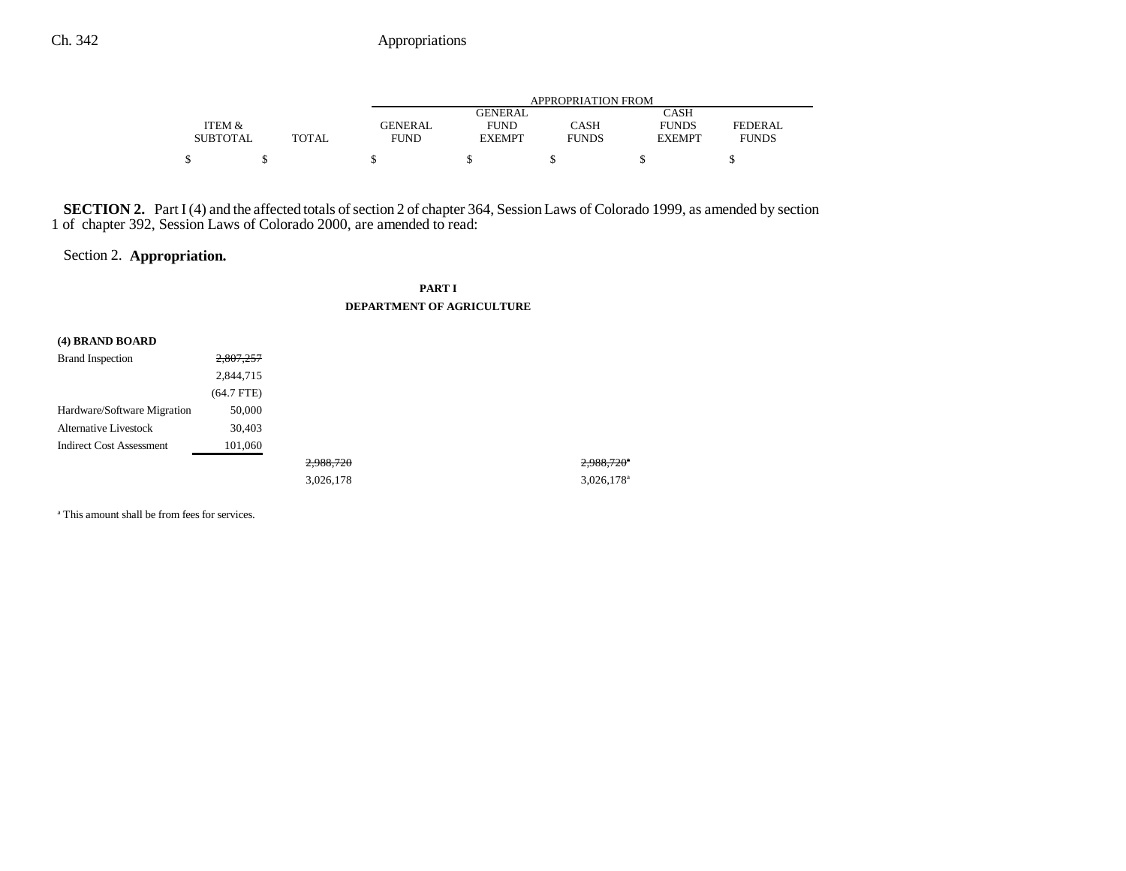|                 |       |                | APPROPRIATION FROM |              |               |                |  |  |  |
|-----------------|-------|----------------|--------------------|--------------|---------------|----------------|--|--|--|
|                 |       |                | <b>GENERAL</b>     |              | CASH          |                |  |  |  |
| ITEM &          |       | <b>GENERAL</b> | <b>FUND</b>        | CASH         | <b>FUNDS</b>  | <b>FEDERAL</b> |  |  |  |
| <b>SUBTOTAL</b> | TOTAL | <b>FUND</b>    | <b>EXEMPT</b>      | <b>FUNDS</b> | <b>EXEMPT</b> | <b>FUNDS</b>   |  |  |  |
|                 |       |                |                    |              |               |                |  |  |  |

**SECTION 2.** Part I (4) and the affected totals of section 2 of chapter 364, Session Laws of Colorado 1999, as amended by section 1 of chapter 392, Session Laws of Colorado 2000, are amended to read:

# Section 2. **Appropriation.**

#### **PART I DEPARTMENT OF AGRICULTURE**

| (4) BRAND BOARD                 |              |           |                          |
|---------------------------------|--------------|-----------|--------------------------|
| <b>Brand Inspection</b>         | 2,807,257    |           |                          |
|                                 | 2,844,715    |           |                          |
|                                 | $(64.7$ FTE) |           |                          |
| Hardware/Software Migration     | 50,000       |           |                          |
| <b>Alternative Livestock</b>    | 30,403       |           |                          |
| <b>Indirect Cost Assessment</b> | 101,060      |           |                          |
|                                 |              | 2,988,720 | $2,988,720$ <sup>*</sup> |
|                                 |              | 3,026,178 | $3,026,178$ <sup>a</sup> |

a This amount shall be from fees for services.